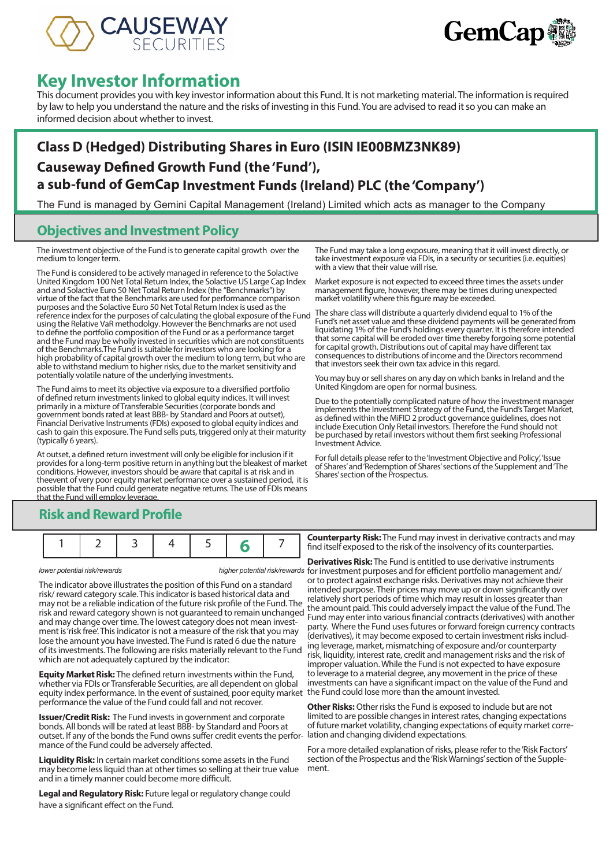



# **Key Investor Information**

This document provides you with key investor information about this Fund. It is not marketing material. The information is required by law to help you understand the nature and the risks of investing in this Fund. You are advised to read it so you can make an informed decision about whether to invest.

# **Class D (Hedged) Distributing Shares in Euro (ISIN IE00BMZ3NK89) Causeway Defined Growth Fund (the 'Fund'), a sub-fund of GemCap Investment Funds (Ireland) PLC (the 'Company')**

The Fund is managed by Gemini Capital Management (Ireland) Limited which acts as manager to the Company

### **Objectives and Investment Policy**

The investment objective of the Fund is to generate capital growth over the medium to longer term.

The Fund is considered to be actively managed in reference to the Solactive United Kingdom 100 Net Total Return Index, the Solactive US Large Cap Index and and Solactive Euro 50 Net Total Return Index (the "Benchmarks") by virtue of the fact that the Benchmarks are used for performance comparison purposes and the Solactive Euro 50 Net Total Return Index is used as the reference index for the purposes of calculating the global exposure of the Fund using the Relative VaR methodolgy. However the Benchmarks are not used to define the portfolio composition of the Fund or as a performance target and the Fund may be wholly invested in securities which are not constituents of the Benchmarks.The Fund is suitable for investors who are looking for a high probability of capital growth over the medium to long term, but who are able to withstand medium to higher risks, due to the market sensitivity and potentially volatile nature of the underlying investments.

The Fund aims to meet its objective via exposure to a diversified portfolio of defined return investments linked to global equity indices. It will invest primarily in a mixture of Transferable Securities (corporate bonds and government bonds rated at least BBB- by Standard and Poors at outset), Financial Derivative Instruments (FDIs) exposed to global equity indices and cash to gain this exposure. The Fund sells puts, triggered only at their maturity (typically 6 years).

At outset, a defined return investment will only be eligible for inclusion if it provides for a long-term positive return in anything but the bleakest of market conditions. However, investors should be aware that capital is at risk and in theevent of very poor equity market performance over a sustained period, it is possible that the Fund could generate negative returns. The use of FDIs means that the Fund will employ leverage.

The Fund may take a long exposure, meaning that it will invest directly, or take investment exposure via FDIs, in a security or securities (i.e. equities) with a view that their value will rise.

Market exposure is not expected to exceed three times the assets under management figure, however, there may be times during unexpected market volatility where this figure may be exceeded.

The share class will distribute a quarterly dividend equal to 1% of the Fund's net asset value and these dividend payments will be generated from liquidating 1% of the Fund's holdings every quarter. It is therefore intended that some capital will be eroded over time thereby forgoing some potential for capital growth. Distributions out of capital may have different tax consequences to distributions of income and the Directors recommend that investors seek their own tax advice in this regard.

You may buy or sell shares on any day on which banks in Ireland and the United Kingdom are open for normal business.

Due to the potentially complicated nature of how the investment manager implements the Investment Strategy of the Fund, the Fund's Target Market, as defined within the MiFID 2 product governance guidelines, does not include Execution Only Retail investors. Therefore the Fund should not be purchased by retail investors without them first seeking Professional Investment Advice.

For full details please refer to the 'Investment Objective and Policy', 'Issue of Shares' and 'Redemption of Shares' sections of the Supplement and 'The Shares' section of the Prospectus.

### **Risk and Reward Profile**

|--|--|--|--|--|--|--|

The indicator above illustrates the position of this Fund on a standard risk/ reward category scale. This indicator is based historical data and may not be a reliable indication of the future risk profile of the Fund. The risk and reward category shown is not guaranteed to remain unchanged and may change over time. The lowest category does not mean investment is 'risk free'. This indicator is not a measure of the risk that you may lose the amount you have invested. The Fund is rated 6 due the nature of its investments. The following are risks materially relevant to the Fund which are not adequately captured by the indicator:

**Equity Market Risk:** The defined return investments within the Fund, whether via FDIs or Transferable Securities, are all dependent on global equity index performance. In the event of sustained, poor equity market performance the value of the Fund could fall and not recover.

**Issuer/Credit Risk:** The Fund invests in government and corporate bonds. All bonds will be rated at least BBB- by Standard and Poors at outset. If any of the bonds the Fund owns suffer credit events the performance of the Fund could be adversely affected.

**Liquidity Risk:** In certain market conditions some assets in the Fund may become less liquid than at other times so selling at their true value and in a timely manner could become more difficult.

**Legal and Regulatory Risk:** Future legal or regulatory change could have a significant effect on the Fund.

**Counterparty Risk:** The Fund may invest in derivative contracts and may find itself exposed to the risk of the insolvency of its counterparties.

*lower potential risk/rewards higher potential risk/rewards* for investment purposes and for efficient portfolio management and/ **Derivatives Risk:** The Fund is entitled to use derivative instruments or to protect against exchange risks. Derivatives may not achieve their intended purpose. Their prices may move up or down significantly over relatively short periods of time which may result in losses greater than the amount paid. This could adversely impact the value of the Fund. The Fund may enter into various financial contracts (derivatives) with another party. Where the Fund uses futures or forward foreign currency contracts (derivatives), it may become exposed to certain investment risks including leverage, market, mismatching of exposure and/or counterparty risk, liquidity, interest rate, credit and management risks and the risk of improper valuation. While the Fund is not expected to have exposure to leverage to a material degree, any movement in the price of these investments can have a significant impact on the value of the Fund and the Fund could lose more than the amount invested.

> **Other Risks:** Other risks the Fund is exposed to include but are not limited to are possible changes in interest rates, changing expectations of future market volatility, changing expectations of equity market corre-

For a more detailed explanation of risks, please refer to the 'Risk Factors' section of the Prospectus and the 'Risk Warnings' section of the Supple- ment.